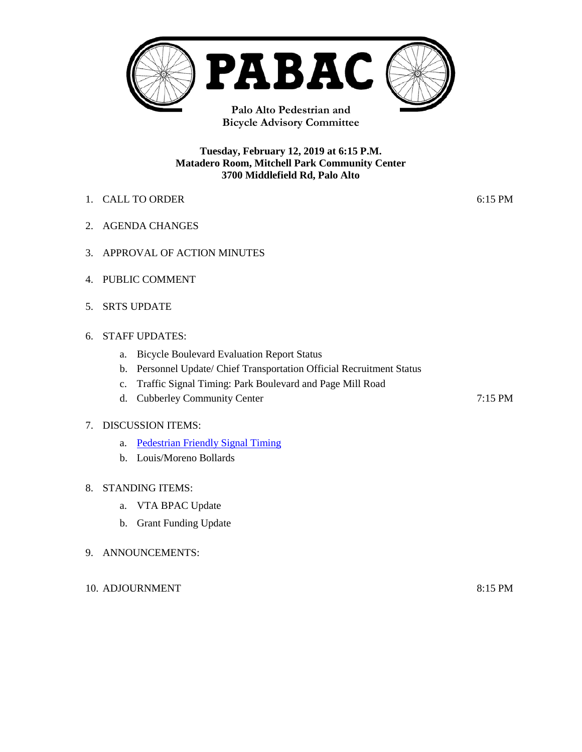

**Bicycle Advisory Committee**

#### **Tuesday, February 12, 2019 at 6:15 P.M. Matadero Room, Mitchell Park Community Center 3700 Middlefield Rd, Palo Alto**

- 1. CALL TO ORDER 6:15 PM
- 2. AGENDA CHANGES
- 3. APPROVAL OF ACTION MINUTES
- 4. PUBLIC COMMENT
- 5. SRTS UPDATE

#### 6. STAFF UPDATES:

- a. Bicycle Boulevard Evaluation Report Status
- b. Personnel Update/ Chief Transportation Official Recruitment Status
- c. Traffic Signal Timing: Park Boulevard and Page Mill Road
- d. Cubberley Community Center 7:15 PM

#### 7. DISCUSSION ITEMS:

- a. [Pedestrian Friendly Signal Timing](https://www.cityofpaloalto.org/civicax/filebank/documents/68919)
- b. Louis/Moreno Bollards

#### 8. STANDING ITEMS:

- a. VTA BPAC Update
- b. Grant Funding Update

#### 9. ANNOUNCEMENTS:

10. ADJOURNMENT 8:15 PM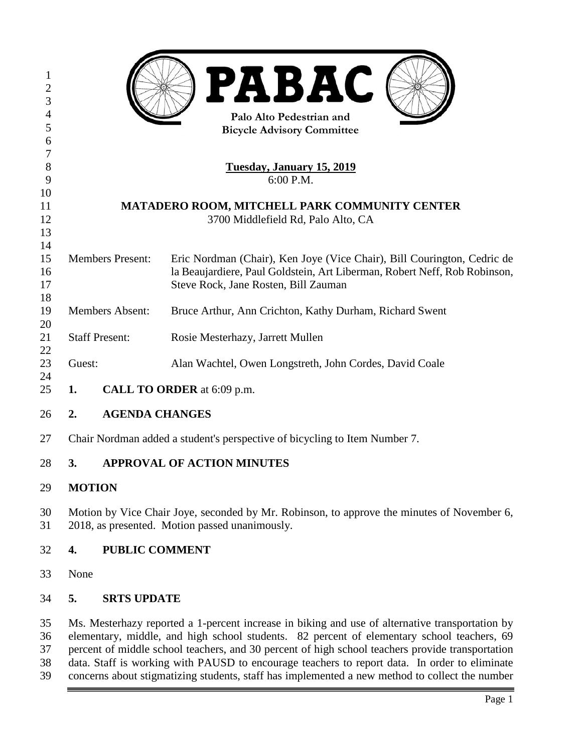| $\mathbf{1}$<br>$\boldsymbol{2}$ |                                                                                                                                                                                                 | <b>PABAC</b>                                                                                    |
|----------------------------------|-------------------------------------------------------------------------------------------------------------------------------------------------------------------------------------------------|-------------------------------------------------------------------------------------------------|
| $\overline{3}$<br>4              |                                                                                                                                                                                                 |                                                                                                 |
| 5                                | Palo Alto Pedestrian and<br><b>Bicycle Advisory Committee</b>                                                                                                                                   |                                                                                                 |
| 6                                |                                                                                                                                                                                                 |                                                                                                 |
| 7                                |                                                                                                                                                                                                 |                                                                                                 |
| $8\,$<br>9                       | <b>Tuesday, January 15, 2019</b><br>6:00 P.M.                                                                                                                                                   |                                                                                                 |
| 10                               |                                                                                                                                                                                                 |                                                                                                 |
| 11                               | MATADERO ROOM, MITCHELL PARK COMMUNITY CENTER                                                                                                                                                   |                                                                                                 |
| 12                               | 3700 Middlefield Rd, Palo Alto, CA                                                                                                                                                              |                                                                                                 |
| 13<br>14                         |                                                                                                                                                                                                 |                                                                                                 |
| 15                               | <b>Members Present:</b>                                                                                                                                                                         | Eric Nordman (Chair), Ken Joye (Vice Chair), Bill Courington, Cedric de                         |
| 16                               |                                                                                                                                                                                                 | la Beaujardiere, Paul Goldstein, Art Liberman, Robert Neff, Rob Robinson,                       |
| 17                               |                                                                                                                                                                                                 | Steve Rock, Jane Rosten, Bill Zauman                                                            |
| 18                               |                                                                                                                                                                                                 |                                                                                                 |
| 19<br>20                         | <b>Members Absent:</b>                                                                                                                                                                          | Bruce Arthur, Ann Crichton, Kathy Durham, Richard Swent                                         |
| 21                               | <b>Staff Present:</b>                                                                                                                                                                           | Rosie Mesterhazy, Jarrett Mullen                                                                |
| 22                               |                                                                                                                                                                                                 |                                                                                                 |
| 23                               | Guest:                                                                                                                                                                                          | Alan Wachtel, Owen Longstreth, John Cordes, David Coale                                         |
| 24<br>25                         | CALL TO ORDER at 6:09 p.m.<br>1.                                                                                                                                                                |                                                                                                 |
| 26                               | <b>AGENDA CHANGES</b><br>2.                                                                                                                                                                     |                                                                                                 |
| 27                               | Chair Nordman added a student's perspective of bicycling to Item Number 7.                                                                                                                      |                                                                                                 |
| 28                               | <b>APPROVAL OF ACTION MINUTES</b><br>3.                                                                                                                                                         |                                                                                                 |
| 29                               | <b>MOTION</b>                                                                                                                                                                                   |                                                                                                 |
| 30<br>31                         | Motion by Vice Chair Joye, seconded by Mr. Robinson, to approve the minutes of November 6,<br>2018, as presented. Motion passed unanimously.                                                    |                                                                                                 |
| 32                               | <b>PUBLIC COMMENT</b><br>4.                                                                                                                                                                     |                                                                                                 |
| 33                               | None                                                                                                                                                                                            |                                                                                                 |
| 34                               | 5.<br><b>SRTS UPDATE</b>                                                                                                                                                                        |                                                                                                 |
| 35                               |                                                                                                                                                                                                 | Ms. Mesterhazy reported a 1-percent increase in biking and use of alternative transportation by |
| 36                               | elementary, middle, and high school students. 82 percent of elementary school teachers, 69                                                                                                      |                                                                                                 |
| 37                               | percent of middle school teachers, and 30 percent of high school teachers provide transportation                                                                                                |                                                                                                 |
| 38<br>39                         | data. Staff is working with PAUSD to encourage teachers to report data. In order to eliminate<br>concerns about stigmatizing students, staff has implemented a new method to collect the number |                                                                                                 |
|                                  |                                                                                                                                                                                                 | Page 1                                                                                          |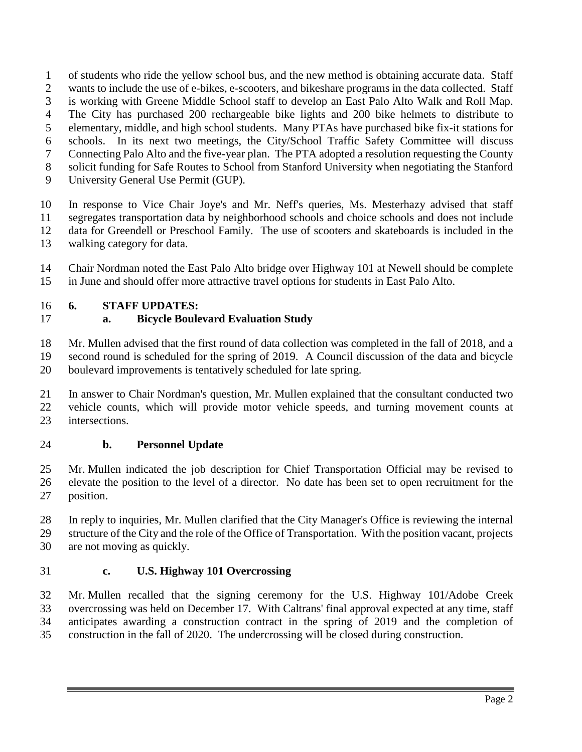of students who ride the yellow school bus, and the new method is obtaining accurate data. Staff

- wants to include the use of e-bikes, e-scooters, and bikeshare programs in the data collected. Staff
- is working with Greene Middle School staff to develop an East Palo Alto Walk and Roll Map.
- The City has purchased 200 rechargeable bike lights and 200 bike helmets to distribute to elementary, middle, and high school students. Many PTAs have purchased bike fix-it stations for
- schools. In its next two meetings, the City/School Traffic Safety Committee will discuss
- Connecting Palo Alto and the five-year plan. The PTA adopted a resolution requesting the County
- solicit funding for Safe Routes to School from Stanford University when negotiating the Stanford
- University General Use Permit (GUP).

 In response to Vice Chair Joye's and Mr. Neff's queries, Ms. Mesterhazy advised that staff segregates transportation data by neighborhood schools and choice schools and does not include data for Greendell or Preschool Family. The use of scooters and skateboards is included in the

walking category for data.

 Chair Nordman noted the East Palo Alto bridge over Highway 101 at Newell should be complete in June and should offer more attractive travel options for students in East Palo Alto.

# **6. STAFF UPDATES:**

# **a. Bicycle Boulevard Evaluation Study**

Mr. Mullen advised that the first round of data collection was completed in the fall of 2018, and a

 second round is scheduled for the spring of 2019. A Council discussion of the data and bicycle boulevard improvements is tentatively scheduled for late spring.

 In answer to Chair Nordman's question, Mr. Mullen explained that the consultant conducted two vehicle counts, which will provide motor vehicle speeds, and turning movement counts at intersections.

# **b. Personnel Update**

 Mr. Mullen indicated the job description for Chief Transportation Official may be revised to elevate the position to the level of a director. No date has been set to open recruitment for the position.

 In reply to inquiries, Mr. Mullen clarified that the City Manager's Office is reviewing the internal structure of the City and the role of the Office of Transportation. With the position vacant, projects are not moving as quickly.

# **c. U.S. Highway 101 Overcrossing**

 Mr. Mullen recalled that the signing ceremony for the U.S. Highway 101/Adobe Creek overcrossing was held on December 17. With Caltrans' final approval expected at any time, staff anticipates awarding a construction contract in the spring of 2019 and the completion of construction in the fall of 2020. The undercrossing will be closed during construction.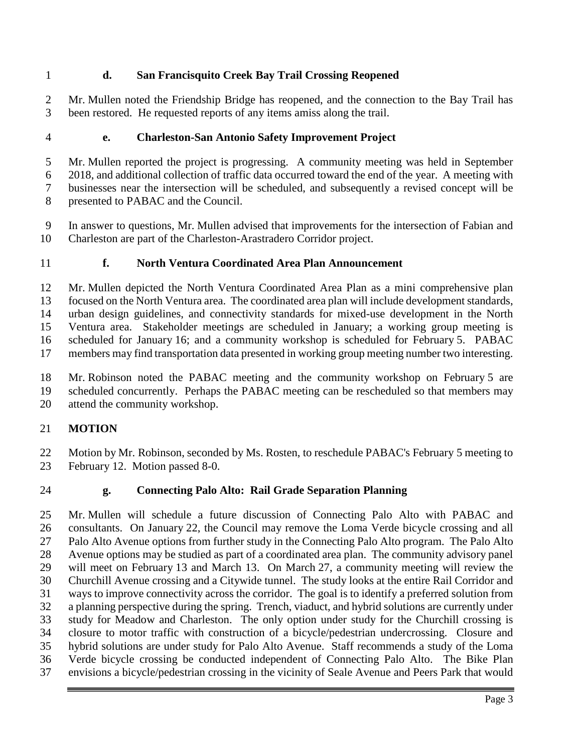# **d. San Francisquito Creek Bay Trail Crossing Reopened**

 Mr. Mullen noted the Friendship Bridge has reopened, and the connection to the Bay Trail has been restored. He requested reports of any items amiss along the trail.

## **e. Charleston-San Antonio Safety Improvement Project**

 Mr. Mullen reported the project is progressing. A community meeting was held in September 2018, and additional collection of traffic data occurred toward the end of the year. A meeting with businesses near the intersection will be scheduled, and subsequently a revised concept will be presented to PABAC and the Council.

 In answer to questions, Mr. Mullen advised that improvements for the intersection of Fabian and Charleston are part of the Charleston-Arastradero Corridor project.

### **f. North Ventura Coordinated Area Plan Announcement**

 Mr. Mullen depicted the North Ventura Coordinated Area Plan as a mini comprehensive plan focused on the North Ventura area. The coordinated area plan will include development standards, urban design guidelines, and connectivity standards for mixed-use development in the North Ventura area. Stakeholder meetings are scheduled in January; a working group meeting is scheduled for January 16; and a community workshop is scheduled for February 5. PABAC members may find transportation data presented in working group meeting number two interesting.

 Mr. Robinson noted the PABAC meeting and the community workshop on February 5 are scheduled concurrently. Perhaps the PABAC meeting can be rescheduled so that members may

attend the community workshop.

### **MOTION**

22 Motion by Mr. Robinson, seconded by Ms. Rosten, to reschedule PABAC's February 5 meeting to February 12. Motion passed 8-0.

### **g. Connecting Palo Alto: Rail Grade Separation Planning**

 Mr. Mullen will schedule a future discussion of Connecting Palo Alto with PABAC and consultants. On January 22, the Council may remove the Loma Verde bicycle crossing and all Palo Alto Avenue options from further study in the Connecting Palo Alto program. The Palo Alto Avenue options may be studied as part of a coordinated area plan. The community advisory panel will meet on February 13 and March 13. On March 27, a community meeting will review the Churchill Avenue crossing and a Citywide tunnel. The study looks at the entire Rail Corridor and ways to improve connectivity across the corridor. The goal is to identify a preferred solution from a planning perspective during the spring. Trench, viaduct, and hybrid solutions are currently under study for Meadow and Charleston. The only option under study for the Churchill crossing is closure to motor traffic with construction of a bicycle/pedestrian undercrossing. Closure and hybrid solutions are under study for Palo Alto Avenue. Staff recommends a study of the Loma Verde bicycle crossing be conducted independent of Connecting Palo Alto. The Bike Plan envisions a bicycle/pedestrian crossing in the vicinity of Seale Avenue and Peers Park that would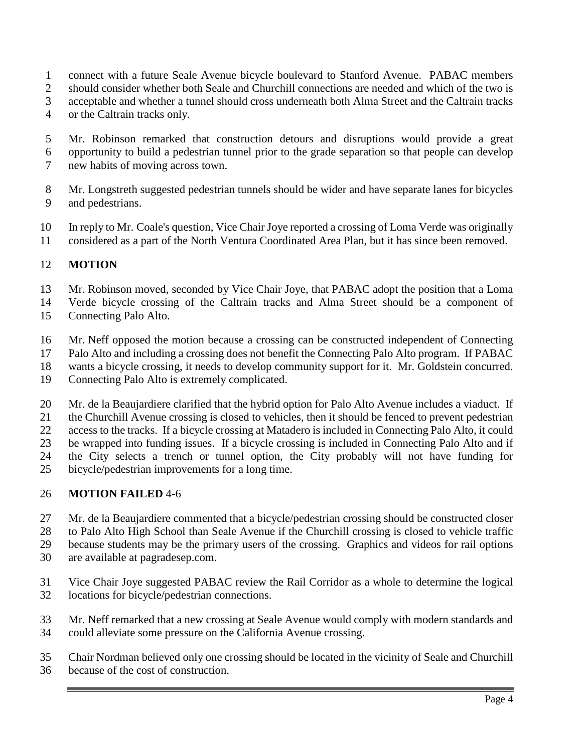- connect with a future Seale Avenue bicycle boulevard to Stanford Avenue. PABAC members
- should consider whether both Seale and Churchill connections are needed and which of the two is
- acceptable and whether a tunnel should cross underneath both Alma Street and the Caltrain tracks
- or the Caltrain tracks only.
- Mr. Robinson remarked that construction detours and disruptions would provide a great
- opportunity to build a pedestrian tunnel prior to the grade separation so that people can develop
- new habits of moving across town.
- Mr. Longstreth suggested pedestrian tunnels should be wider and have separate lanes for bicycles and pedestrians.
- In reply to Mr. Coale's question, Vice Chair Joye reported a crossing of Loma Verde was originally
- considered as a part of the North Ventura Coordinated Area Plan, but it has since been removed.

## **MOTION**

- Mr. Robinson moved, seconded by Vice Chair Joye, that PABAC adopt the position that a Loma
- Verde bicycle crossing of the Caltrain tracks and Alma Street should be a component of
- Connecting Palo Alto.
- Mr. Neff opposed the motion because a crossing can be constructed independent of Connecting
- Palo Alto and including a crossing does not benefit the Connecting Palo Alto program. If PABAC
- wants a bicycle crossing, it needs to develop community support for it. Mr. Goldstein concurred.
- Connecting Palo Alto is extremely complicated.
- Mr. de la Beaujardiere clarified that the hybrid option for Palo Alto Avenue includes a viaduct. If
- the Churchill Avenue crossing is closed to vehicles, then it should be fenced to prevent pedestrian
- access to the tracks. If a bicycle crossing at Matadero is included in Connecting Palo Alto, it could
- be wrapped into funding issues. If a bicycle crossing is included in Connecting Palo Alto and if
- the City selects a trench or tunnel option, the City probably will not have funding for
- bicycle/pedestrian improvements for a long time.

# **MOTION FAILED** 4-6

- Mr. de la Beaujardiere commented that a bicycle/pedestrian crossing should be constructed closer
- to Palo Alto High School than Seale Avenue if the Churchill crossing is closed to vehicle traffic
- because students may be the primary users of the crossing. Graphics and videos for rail options
- are available at pagradesep.com.
- Vice Chair Joye suggested PABAC review the Rail Corridor as a whole to determine the logical locations for bicycle/pedestrian connections.
- Mr. Neff remarked that a new crossing at Seale Avenue would comply with modern standards and could alleviate some pressure on the California Avenue crossing.
- Chair Nordman believed only one crossing should be located in the vicinity of Seale and Churchill because of the cost of construction.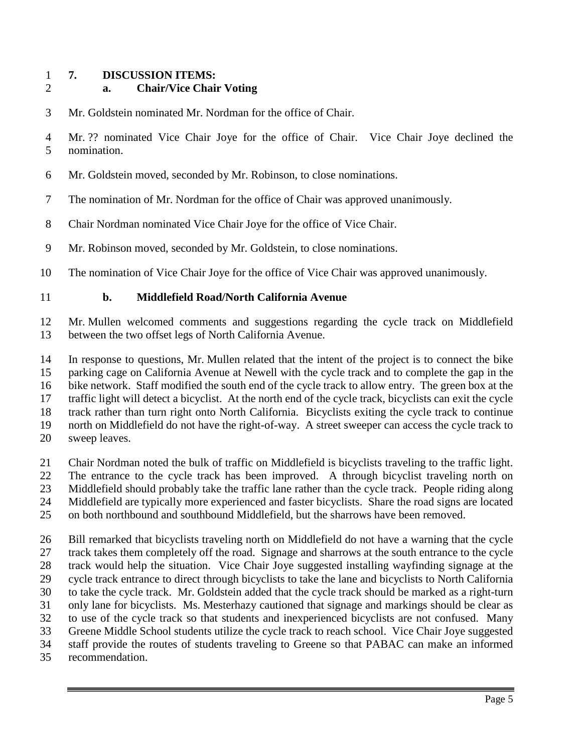### **7. DISCUSSION ITEMS:**

## **a. Chair/Vice Chair Voting**

Mr. Goldstein nominated Mr. Nordman for the office of Chair.

 Mr. ?? nominated Vice Chair Joye for the office of Chair. Vice Chair Joye declined the nomination.

- Mr. Goldstein moved, seconded by Mr. Robinson, to close nominations.
- The nomination of Mr. Nordman for the office of Chair was approved unanimously.
- Chair Nordman nominated Vice Chair Joye for the office of Vice Chair.
- Mr. Robinson moved, seconded by Mr. Goldstein, to close nominations.
- The nomination of Vice Chair Joye for the office of Vice Chair was approved unanimously.

### **b. Middlefield Road/North California Avenue**

 Mr. Mullen welcomed comments and suggestions regarding the cycle track on Middlefield between the two offset legs of North California Avenue.

 In response to questions, Mr. Mullen related that the intent of the project is to connect the bike parking cage on California Avenue at Newell with the cycle track and to complete the gap in the bike network. Staff modified the south end of the cycle track to allow entry. The green box at the traffic light will detect a bicyclist. At the north end of the cycle track, bicyclists can exit the cycle track rather than turn right onto North California. Bicyclists exiting the cycle track to continue north on Middlefield do not have the right-of-way. A street sweeper can access the cycle track to sweep leaves.

 Chair Nordman noted the bulk of traffic on Middlefield is bicyclists traveling to the traffic light. The entrance to the cycle track has been improved. A through bicyclist traveling north on Middlefield should probably take the traffic lane rather than the cycle track. People riding along Middlefield are typically more experienced and faster bicyclists. Share the road signs are located on both northbound and southbound Middlefield, but the sharrows have been removed.

 Bill remarked that bicyclists traveling north on Middlefield do not have a warning that the cycle track takes them completely off the road. Signage and sharrows at the south entrance to the cycle track would help the situation. Vice Chair Joye suggested installing wayfinding signage at the cycle track entrance to direct through bicyclists to take the lane and bicyclists to North California to take the cycle track. Mr. Goldstein added that the cycle track should be marked as a right-turn only lane for bicyclists. Ms. Mesterhazy cautioned that signage and markings should be clear as to use of the cycle track so that students and inexperienced bicyclists are not confused. Many Greene Middle School students utilize the cycle track to reach school. Vice Chair Joye suggested staff provide the routes of students traveling to Greene so that PABAC can make an informed recommendation.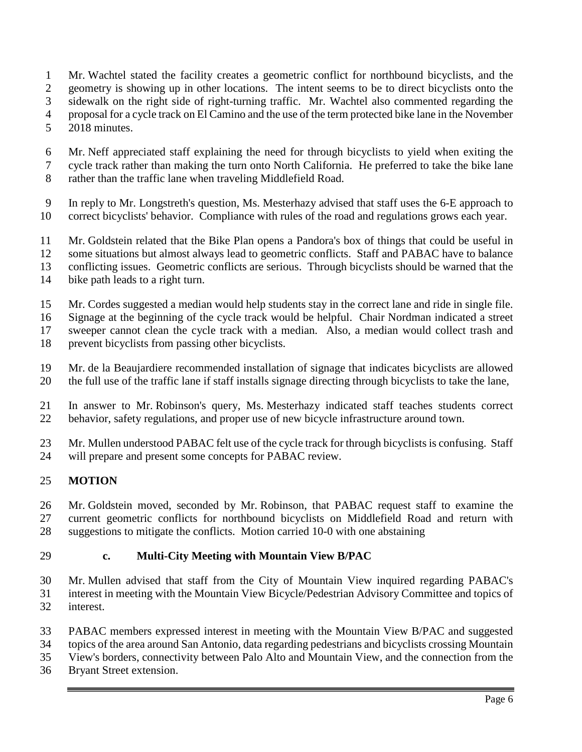- Mr. Wachtel stated the facility creates a geometric conflict for northbound bicyclists, and the geometry is showing up in other locations. The intent seems to be to direct bicyclists onto the sidewalk on the right side of right-turning traffic. Mr. Wachtel also commented regarding the proposal for a cycle track on El Camino and the use of the term protected bike lane in the November 2018 minutes.
- Mr. Neff appreciated staff explaining the need for through bicyclists to yield when exiting the cycle track rather than making the turn onto North California. He preferred to take the bike lane
- rather than the traffic lane when traveling Middlefield Road.
- In reply to Mr. Longstreth's question, Ms. Mesterhazy advised that staff uses the 6-E approach to
- correct bicyclists' behavior. Compliance with rules of the road and regulations grows each year.
- Mr. Goldstein related that the Bike Plan opens a Pandora's box of things that could be useful in
- some situations but almost always lead to geometric conflicts. Staff and PABAC have to balance
- conflicting issues. Geometric conflicts are serious. Through bicyclists should be warned that the
- bike path leads to a right turn.
- Mr. Cordes suggested a median would help students stay in the correct lane and ride in single file.
- Signage at the beginning of the cycle track would be helpful. Chair Nordman indicated a street

sweeper cannot clean the cycle track with a median. Also, a median would collect trash and

- prevent bicyclists from passing other bicyclists.
- Mr. de la Beaujardiere recommended installation of signage that indicates bicyclists are allowed the full use of the traffic lane if staff installs signage directing through bicyclists to take the lane,
- In answer to Mr. Robinson's query, Ms. Mesterhazy indicated staff teaches students correct behavior, safety regulations, and proper use of new bicycle infrastructure around town.

 Mr. Mullen understood PABAC felt use of the cycle track for through bicyclists is confusing. Staff will prepare and present some concepts for PABAC review.

# **MOTION**

 Mr. Goldstein moved, seconded by Mr. Robinson, that PABAC request staff to examine the current geometric conflicts for northbound bicyclists on Middlefield Road and return with suggestions to mitigate the conflicts. Motion carried 10-0 with one abstaining

### **c. Multi-City Meeting with Mountain View B/PAC**

 Mr. Mullen advised that staff from the City of Mountain View inquired regarding PABAC's interest in meeting with the Mountain View Bicycle/Pedestrian Advisory Committee and topics of interest.

- PABAC members expressed interest in meeting with the Mountain View B/PAC and suggested topics of the area around San Antonio, data regarding pedestrians and bicyclists crossing Mountain
- View's borders, connectivity between Palo Alto and Mountain View, and the connection from the
- Bryant Street extension.